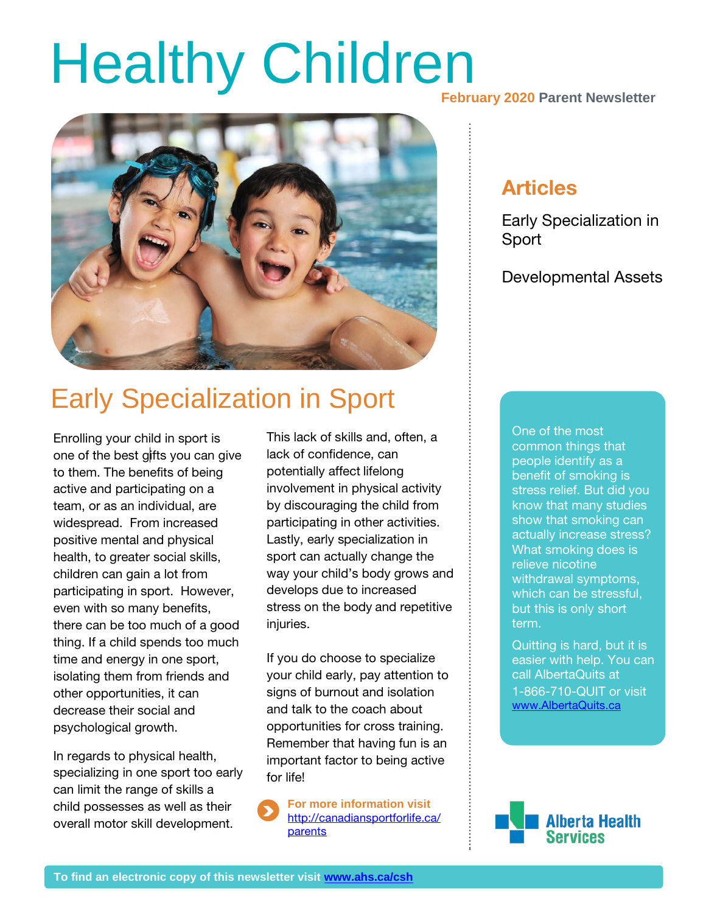# **Healthy Children**



## Early Specialization in Sport

Enrolling your child in sport is one of the best gifts you can give to them. The benefits of being active and participating on a team, or as an individual, are widespread. From increased positive mental and physical health, to greater social skills, children can gain a lot from participating in sport. However, even with so many benefits, there can be too much of a good thing. If a child spends too much time and energy in one sport, isolating them from friends and other opportunities, it can decrease their social and psychological growth.

In regards to physical health, specializing in one sport too early can limit the range of skills a child possesses as well as their overall motor skill development.

This lack of skills and, often, a lack of confidence, can potentially affect lifelong involvement in physical activity by discouraging the child from participating in other activities. Lastly, early specialization in sport can actually change the way your child's body grows and develops due to increased stress on the body and repetitive injuries.

If you do choose to specialize your child early, pay attention to signs of burnout and isolation and talk to the coach about opportunities for cross training. Remember that having fun is an important factor to being active for life!

**For more information visit**  [http://canadiansportforlife.ca/](http://canadiansportforlife.ca/parents) **[parents](http://canadiansportforlife.ca/parents)** 

**February 2020 Parent Newsletter**

### Articles

Early Specialization in Sport

Developmental Assets

**Solute** of the most but this is only short<br>. **30%** show that smoking can common things that people identify as a benefit of smoking is stress relief. But did you know that many studies actually increase stress? What smoking does is relieve nicotine withdrawal symptoms, which can be stressful, term.

Quitting is hard, but it is easier with help. You can call AlbertaQuits at 1-866-710-QUIT or visit [www.AlbertaQuits.ca](http://www.albertaquits.ca/)